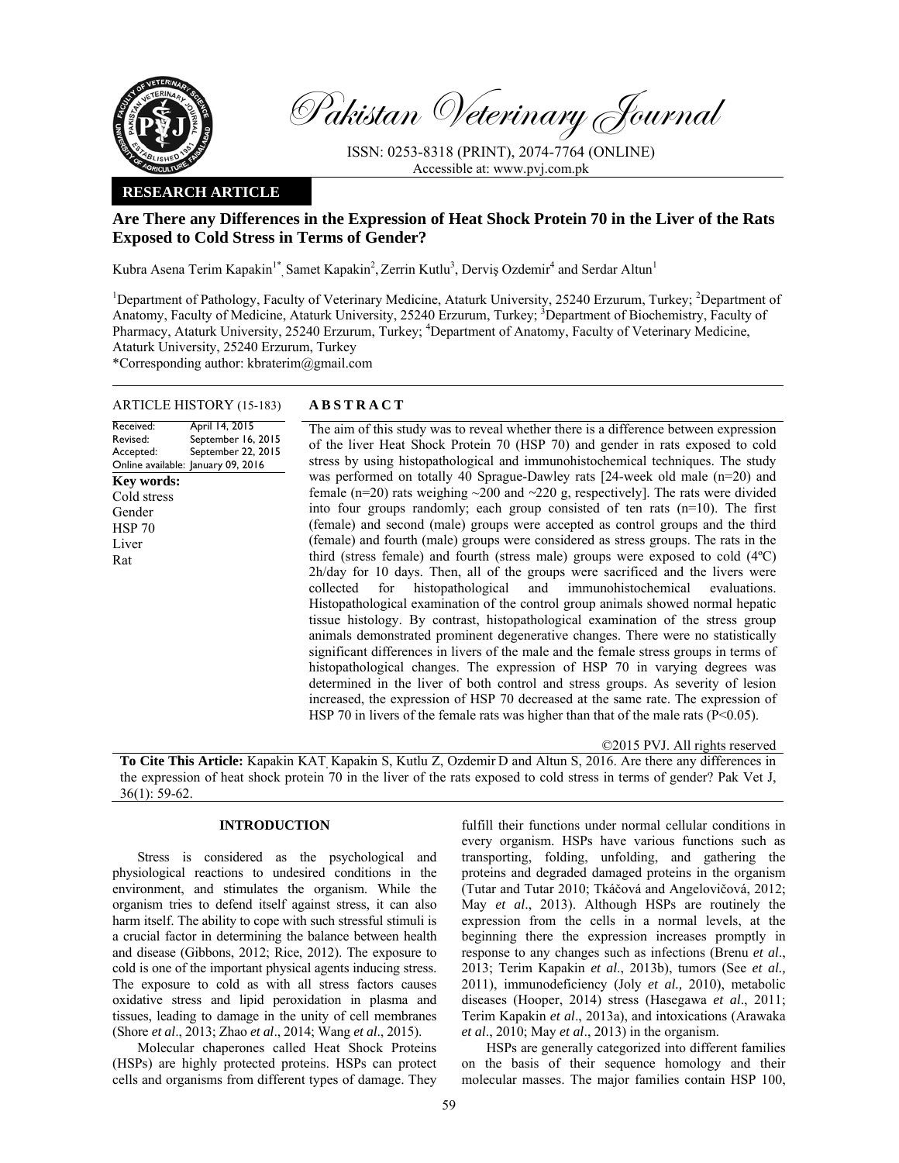

Pakistan Veterinary Journal

ISSN: 0253-8318 (PRINT), 2074-7764 (ONLINE) Accessible at: www.pvj.com.pk

# **RESEARCH ARTICLE**

# **Are There any Differences in the Expression of Heat Shock Protein 70 in the Liver of the Rats Exposed to Cold Stress in Terms of Gender?**

Kubra Asena Terim Kapakin<sup>1\*</sup>, Samet Kapakin<sup>2</sup>, Zerrin Kutlu<sup>3</sup>, Derviş Ozdemir<sup>4</sup> and Serdar Altun<sup>1</sup>

<sup>1</sup>Department of Pathology, Faculty of Veterinary Medicine, Ataturk University, 25240 Erzurum, Turkey; <sup>2</sup>Department of Anatomy, Faculty of Medicine, Ataturk University, 25240 Erzurum, Turkey; <sup>3</sup>Department of Biochemistry, Faculty of Pharmacy, Ataturk University, 25240 Erzurum, Turkey; <sup>4</sup>Department of Anatomy, Faculty of Veterinary Medicine, Ataturk University, 25240 Erzurum, Turkey

\*Corresponding author: kbraterim@gmail.com

# ARTICLE HISTORY (15-183) **ABSTRACT**

Received: Revised: Accepted: Online available: January 09, 2016 April 14, 2015 September 16, 2015 September 22, 2015 **Key words:**  Cold stress Gender HSP 70 Liver Rat

 The aim of this study was to reveal whether there is a difference between expression of the liver Heat Shock Protein 70 (HSP 70) and gender in rats exposed to cold stress by using histopathological and immunohistochemical techniques. The study was performed on totally 40 Sprague-Dawley rats [24-week old male (n=20) and female (n=20) rats weighing ~200 and *~*220 g, respectively]. The rats were divided into four groups randomly; each group consisted of ten rats (n=10). The first (female) and second (male) groups were accepted as control groups and the third (female) and fourth (male) groups were considered as stress groups. The rats in the third (stress female) and fourth (stress male) groups were exposed to cold (4ºC) 2h/day for 10 days. Then, all of the groups were sacrificed and the livers were collected for histopathological and immunohistochemical evaluations. Histopathological examination of the control group animals showed normal hepatic tissue histology. By contrast, histopathological examination of the stress group animals demonstrated prominent degenerative changes. There were no statistically significant differences in livers of the male and the female stress groups in terms of histopathological changes. The expression of HSP 70 in varying degrees was determined in the liver of both control and stress groups. As severity of lesion increased, the expression of HSP 70 decreased at the same rate. The expression of HSP 70 in livers of the female rats was higher than that of the male rats  $(P<0.05)$ .

©2015 PVJ. All rights reserved

**To Cite This Article:** Kapakin KAT, Kapakin S, Kutlu Z, Ozdemir D and Altun S, 2016. Are there any differences in the expression of heat shock protein 70 in the liver of the rats exposed to cold stress in terms of gender? Pak Vet J, 36(1): 59-62.

### **INTRODUCTION**

Stress is considered as the psychological and physiological reactions to undesired conditions in the environment, and stimulates the organism. While the organism tries to defend itself against stress, it can also harm itself. The ability to cope with such stressful stimuli is a crucial factor in determining the balance between health and disease (Gibbons, 2012; Rice, 2012). The exposure to cold is one of the important physical agents inducing stress. The exposure to cold as with all stress factors causes oxidative stress and lipid peroxidation in plasma and tissues, leading to damage in the unity of cell membranes (Shore *et al*., 2013; Zhao *et al*., 2014; Wang *et al*., 2015).

Molecular chaperones called Heat Shock Proteins (HSPs) are highly protected proteins. HSPs can protect cells and organisms from different types of damage. They

fulfill their functions under normal cellular conditions in every organism. HSPs have various functions such as transporting, folding, unfolding, and gathering the proteins and degraded damaged proteins in the organism (Tutar and Tutar 2010; Tkáčová and Angelovičová, 2012; May *et al*., 2013). Although HSPs are routinely the expression from the cells in a normal levels, at the beginning there the expression increases promptly in response to any changes such as infections (Brenu *et al*., 2013; Terim Kapakin *et al*., 2013b), tumors (See *et al.,* 2011), immunodeficiency (Joly *et al.,* 2010), metabolic diseases (Hooper, 2014) stress (Hasegawa *et al*., 2011; Terim Kapakin *et al*., 2013a), and intoxications (Arawaka *et al*., 2010; May *et al*., 2013) in the organism.

HSPs are generally categorized into different families on the basis of their sequence homology and their molecular masses. The major families contain HSP 100,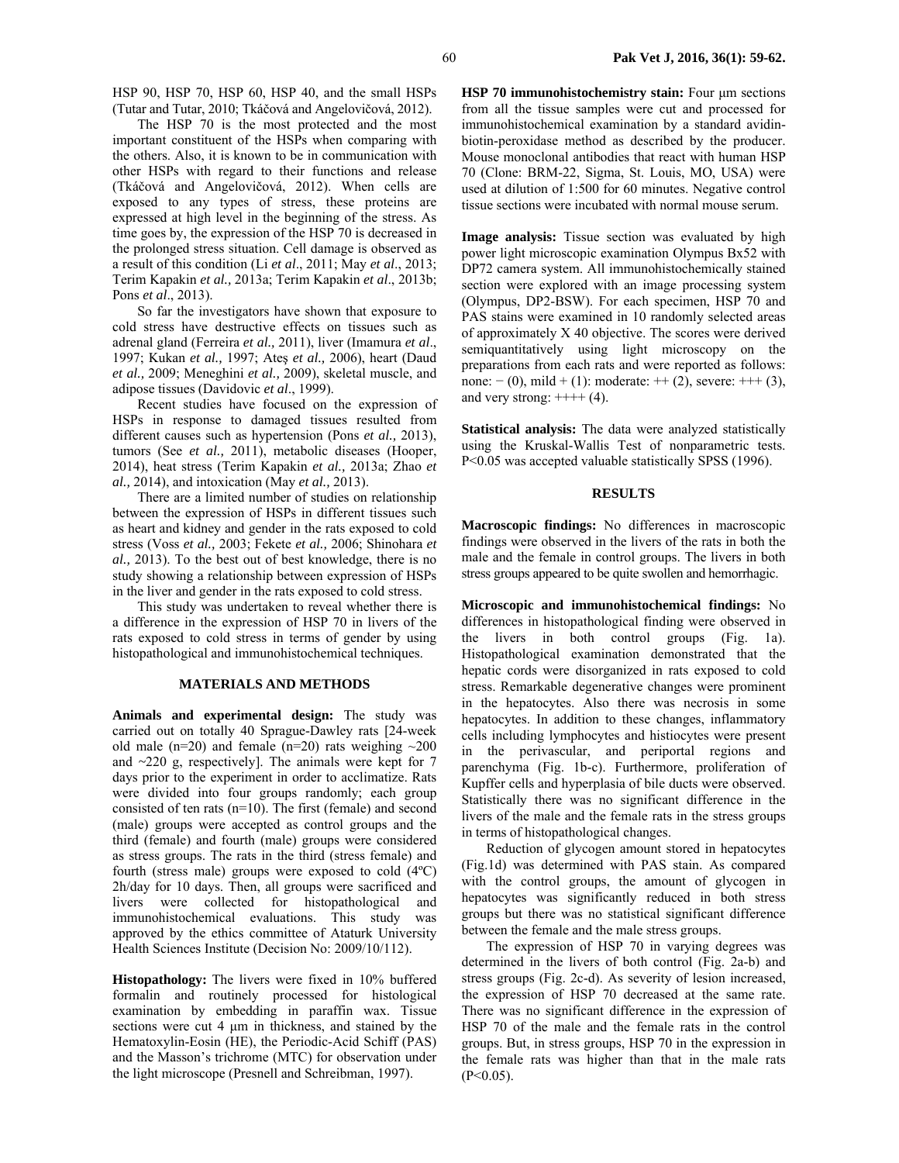HSP 90, HSP 70, HSP 60, HSP 40, and the small HSPs (Tutar and Tutar, 2010; Tkáčová and Angelovičová, 2012).

The HSP 70 is the most protected and the most important constituent of the HSPs when comparing with the others. Also, it is known to be in communication with other HSPs with regard to their functions and release (Tkáčová and Angelovičová, 2012). When cells are exposed to any types of stress, these proteins are expressed at high level in the beginning of the stress. As time goes by, the expression of the HSP 70 is decreased in the prolonged stress situation. Cell damage is observed as a result of this condition (Li *et al*., 2011; May *et al*., 2013; Terim Kapakin *et al.,* 2013a; Terim Kapakin *et al*., 2013b; Pons *et al*., 2013).

So far the investigators have shown that exposure to cold stress have destructive effects on tissues such as adrenal gland (Ferreira *et al.,* 2011), liver (Imamura *et al*., 1997; Kukan *et al.,* 1997; Ateş *et al.,* 2006), heart (Daud *et al.,* 2009; Meneghini *et al.,* 2009), skeletal muscle, and adipose tissues (Davidovic *et al*., 1999).

Recent studies have focused on the expression of HSPs in response to damaged tissues resulted from different causes such as hypertension (Pons *et al.,* 2013), tumors (See *et al.,* 2011), metabolic diseases (Hooper, 2014), heat stress (Terim Kapakin *et al.,* 2013a; Zhao *et al.,* 2014), and intoxication (May *et al.,* 2013).

There are a limited number of studies on relationship between the expression of HSPs in different tissues such as heart and kidney and gender in the rats exposed to cold stress (Voss *et al.,* 2003; Fekete *et al.,* 2006; Shinohara *et al.,* 2013). To the best out of best knowledge, there is no study showing a relationship between expression of HSPs in the liver and gender in the rats exposed to cold stress.

This study was undertaken to reveal whether there is a difference in the expression of HSP 70 in livers of the rats exposed to cold stress in terms of gender by using histopathological and immunohistochemical techniques.

#### **MATERIALS AND METHODS**

**Animals and experimental design:** The study was carried out on totally 40 Sprague-Dawley rats [24-week old male (n=20) and female (n=20) rats weighing  $\sim$ 200 and *~*220 g, respectively]. The animals were kept for 7 days prior to the experiment in order to acclimatize. Rats were divided into four groups randomly; each group consisted of ten rats (n=10). The first (female) and second (male) groups were accepted as control groups and the third (female) and fourth (male) groups were considered as stress groups. The rats in the third (stress female) and fourth (stress male) groups were exposed to cold (4ºC) 2h/day for 10 days. Then, all groups were sacrificed and livers were collected for histopathological and immunohistochemical evaluations. This study was approved by the ethics committee of Ataturk University Health Sciences Institute (Decision No: 2009/10/112).

**Histopathology:** The livers were fixed in 10% buffered formalin and routinely processed for histological examination by embedding in paraffin wax. Tissue sections were cut 4  $\mu$ m in thickness, and stained by the Hematoxylin-Eosin (HE), the Periodic-Acid Schiff (PAS) and the Masson's trichrome (MTC) for observation under the light microscope (Presnell and Schreibman, 1997).

**HSP 70 immunohistochemistry stain:** Four µm sections from all the tissue samples were cut and processed for immunohistochemical examination by a standard avidinbiotin-peroxidase method as described by the producer. Mouse monoclonal antibodies that react with human HSP 70 (Clone: BRM-22, Sigma, St. Louis, MO, USA) were used at dilution of 1:500 for 60 minutes. Negative control tissue sections were incubated with normal mouse serum.

**Image analysis:** Tissue section was evaluated by high power light microscopic examination Olympus Bx52 with DP72 camera system. All immunohistochemically stained section were explored with an image processing system (Olympus, DP2-BSW). For each specimen, HSP 70 and PAS stains were examined in 10 randomly selected areas of approximately X 40 objective. The scores were derived semiquantitatively using light microscopy on the preparations from each rats and were reported as follows: none:  $- (0)$ , mild + (1): moderate: ++ (2), severe: +++ (3), and very strong:  $+++$  (4).

**Statistical analysis:** The data were analyzed statistically using the Kruskal-Wallis Test of nonparametric tests. P<0.05 was accepted valuable statistically SPSS (1996).

## **RESULTS**

**Macroscopic findings:** No differences in macroscopic findings were observed in the livers of the rats in both the male and the female in control groups. The livers in both stress groups appeared to be quite swollen and hemorrhagic.

**Microscopic and immunohistochemical findings:** No differences in histopathological finding were observed in the livers in both control groups (Fig. 1a). Histopathological examination demonstrated that the hepatic cords were disorganized in rats exposed to cold stress. Remarkable degenerative changes were prominent in the hepatocytes. Also there was necrosis in some hepatocytes. In addition to these changes, inflammatory cells including lymphocytes and histiocytes were present in the perivascular, and periportal regions and parenchyma (Fig. 1b-c). Furthermore, proliferation of Kupffer cells and hyperplasia of bile ducts were observed. Statistically there was no significant difference in the livers of the male and the female rats in the stress groups in terms of histopathological changes.

Reduction of glycogen amount stored in hepatocytes (Fig.1d) was determined with PAS stain. As compared with the control groups, the amount of glycogen in hepatocytes was significantly reduced in both stress groups but there was no statistical significant difference between the female and the male stress groups.

The expression of HSP 70 in varying degrees was determined in the livers of both control (Fig. 2a-b) and stress groups (Fig. 2c-d). As severity of lesion increased, the expression of HSP 70 decreased at the same rate. There was no significant difference in the expression of HSP 70 of the male and the female rats in the control groups. But, in stress groups, HSP 70 in the expression in the female rats was higher than that in the male rats  $(P<0.05)$ .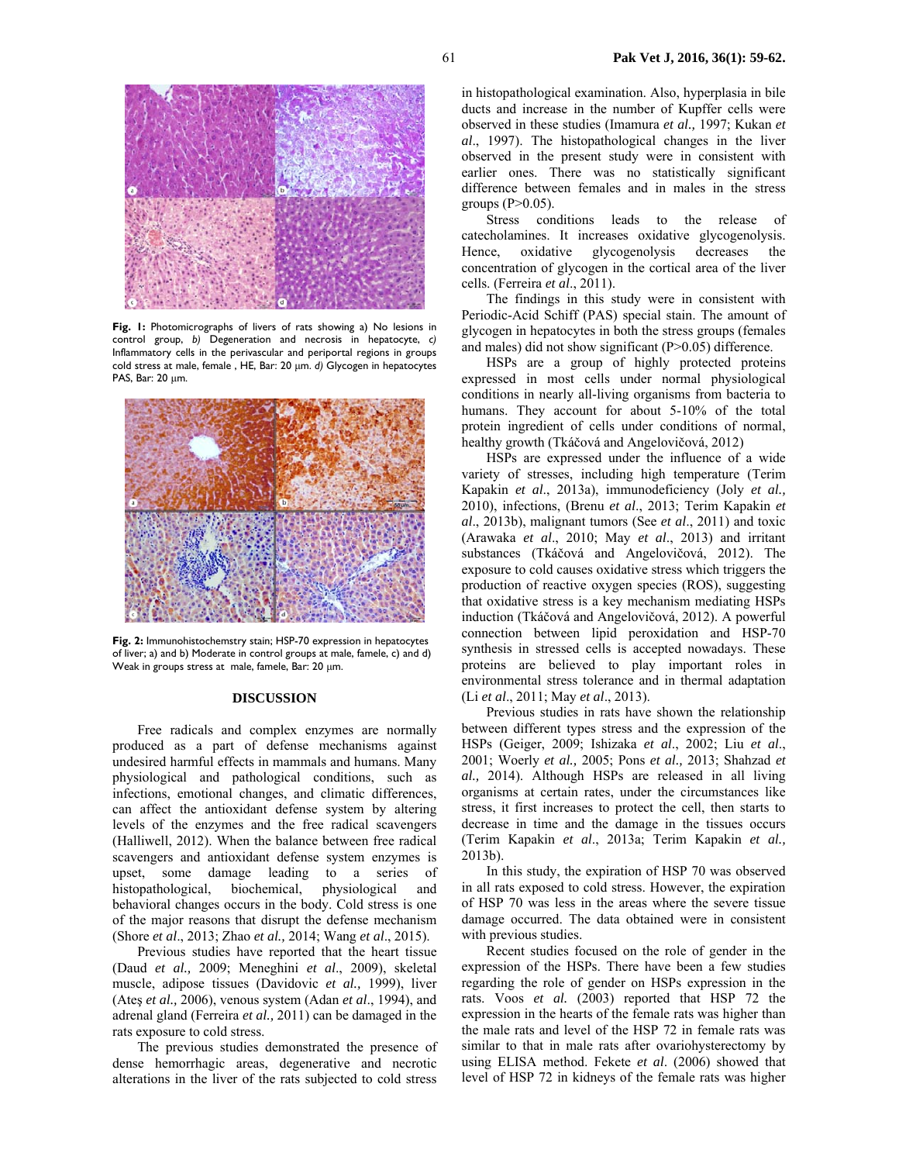

**Fig. 1:** Photomicrographs of livers of rats showing a) No lesions in control group, *b)* Degeneration and necrosis in hepatocyte, *c)* Inflammatory cells in the perivascular and periportal regions in groups cold stress at male, female , HE, Bar: 20 µm. *d)* Glycogen in hepatocytes PAS, Bar: 20 um.



**Fig. 2:** Immunohistochemstry stain; HSP-70 expression in hepatocytes of liver; a) and b) Moderate in control groups at male, famele, c) and d) Weak in groups stress at male, famele, Bar: 20 µm.

#### **DISCUSSION**

Free radicals and complex enzymes are normally produced as a part of defense mechanisms against undesired harmful effects in mammals and humans. Many physiological and pathological conditions, such as infections, emotional changes, and climatic differences, can affect the antioxidant defense system by altering levels of the enzymes and the free radical scavengers (Halliwell, 2012). When the balance between free radical scavengers and antioxidant defense system enzymes is upset, some damage leading to a series of histopathological, biochemical, physiological and behavioral changes occurs in the body. Cold stress is one of the major reasons that disrupt the defense mechanism (Shore *et al*., 2013; Zhao *et al.,* 2014; Wang *et al*., 2015).

Previous studies have reported that the heart tissue (Daud *et al.,* 2009; Meneghini *et al*., 2009), skeletal muscle, adipose tissues (Davidovic *et al.,* 1999), liver (Ateş *et al.,* 2006), venous system (Adan *et al*., 1994), and adrenal gland (Ferreira *et al.,* 2011) can be damaged in the rats exposure to cold stress.

The previous studies demonstrated the presence of dense hemorrhagic areas, degenerative and necrotic alterations in the liver of the rats subjected to cold stress

in histopathological examination. Also, hyperplasia in bile ducts and increase in the number of Kupffer cells were observed in these studies (Imamura *et al.,* 1997; Kukan *et al*., 1997). The histopathological changes in the liver observed in the present study were in consistent with earlier ones. There was no statistically significant difference between females and in males in the stress groups  $(P>0.05)$ .

Stress conditions leads to the release of catecholamines. It increases oxidative glycogenolysis. Hence, oxidative glycogenolysis decreases the concentration of glycogen in the cortical area of the liver cells. (Ferreira *et al*., 2011).

The findings in this study were in consistent with Periodic-Acid Schiff (PAS) special stain. The amount of glycogen in hepatocytes in both the stress groups (females and males) did not show significant (P>0.05) difference.

HSPs are a group of highly protected proteins expressed in most cells under normal physiological conditions in nearly all-living organisms from bacteria to humans. They account for about 5-10% of the total protein ingredient of cells under conditions of normal, healthy growth (Tkáčová and Angelovičová, 2012)

HSPs are expressed under the influence of a wide variety of stresses, including high temperature (Terim Kapakin *et al*., 2013a), immunodeficiency (Joly *et al.,*  2010), infections, (Brenu *et al*., 2013; Terim Kapakin *et al*., 2013b), malignant tumors (See *et al*., 2011) and toxic (Arawaka *et al*., 2010; May *et al*., 2013) and irritant substances (Tkáčová and Angelovičová, 2012). The exposure to cold causes oxidative stress which triggers the production of reactive oxygen species (ROS), suggesting that oxidative stress is a key mechanism mediating HSPs induction (Tkáčová and Angelovičová, 2012). A powerful connection between lipid peroxidation and HSP-70 synthesis in stressed cells is accepted nowadays. These proteins are believed to play important roles in environmental stress tolerance and in thermal adaptation (Li *et al*., 2011; May *et al*., 2013).

Previous studies in rats have shown the relationship between different types stress and the expression of the HSPs (Geiger, 2009; Ishizaka *et al*., 2002; Liu *et al*., 2001; Woerly *et al.,* 2005; Pons *et al.,* 2013; Shahzad *et al.,* 2014). Although HSPs are released in all living organisms at certain rates, under the circumstances like stress, it first increases to protect the cell, then starts to decrease in time and the damage in the tissues occurs (Terim Kapakin *et al*., 2013a; Terim Kapakin *et al.,* 2013b).

In this study, the expiration of HSP 70 was observed in all rats exposed to cold stress. However, the expiration of HSP 70 was less in the areas where the severe tissue damage occurred. The data obtained were in consistent with previous studies.

Recent studies focused on the role of gender in the expression of the HSPs. There have been a few studies regarding the role of gender on HSPs expression in the rats. Voos *et al.* (2003) reported that HSP 72 the expression in the hearts of the female rats was higher than the male rats and level of the HSP 72 in female rats was similar to that in male rats after ovariohysterectomy by using ELISA method. Fekete *et al*. (2006) showed that level of HSP 72 in kidneys of the female rats was higher